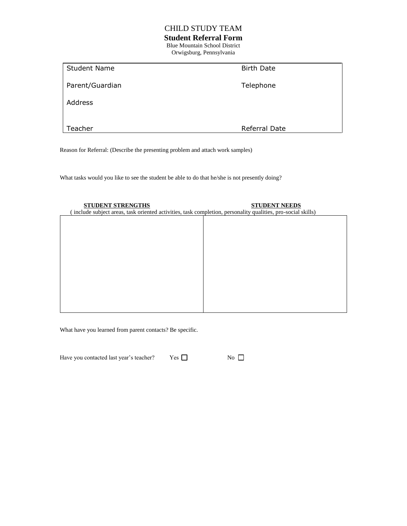# CHILD STUDY TEAM

# **Student Referral Form**

Blue Mountain School District Orwigsburg, Pennsylvania

| <b>Student Name</b> | <b>Birth Date</b> |
|---------------------|-------------------|
| Parent/Guardian     | Telephone         |
| Address             |                   |
|                     |                   |
| Teacher             | Referral Date     |

Reason for Referral: (Describe the presenting problem and attach work samples)

What tasks would you like to see the student be able to do that he/she is not presently doing?

| <b>STUDENT STRENGTHS</b><br>(include subject areas, task oriented activities, task completion, personality qualities, pro-social skills) | <b>STUDENT NEEDS</b> |
|------------------------------------------------------------------------------------------------------------------------------------------|----------------------|
|                                                                                                                                          |                      |
|                                                                                                                                          |                      |
|                                                                                                                                          |                      |
|                                                                                                                                          |                      |
|                                                                                                                                          |                      |
|                                                                                                                                          |                      |
|                                                                                                                                          |                      |
|                                                                                                                                          |                      |
|                                                                                                                                          |                      |
|                                                                                                                                          |                      |

What have you learned from parent contacts? Be specific.

| Have you contacted last year's teacher? | Yes | No $\Box$ |
|-----------------------------------------|-----|-----------|
|-----------------------------------------|-----|-----------|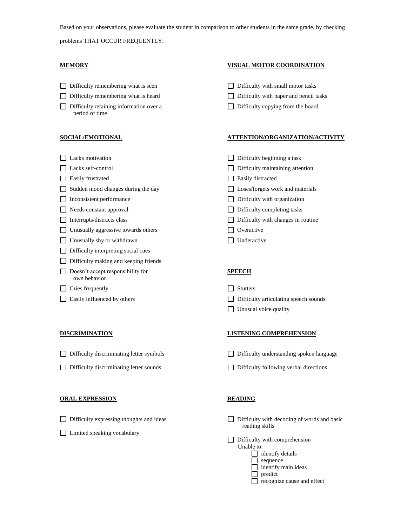Based on your observations, please evaluate the student in comparison to other students in the same grade, by checking

problems THAT OCCUR FREQUENTLY.

- Difficulty remembering what is seen Difficulty with small motor tasks
- Difficulty remembering what is heard Difficulty with paper and pencil tasks
- Difficulty retaining information over a Difficulty copying from the board period of time

- 
- 
- Easily frustrated Easily distracted Easily distracted
- □ Sudden mood changes during the day □ Loses/forgets work and materials
- □ Inconsistent performance Difficulty with organization
- 
- 
- □ Unusually aggressive towards others □ Overactive
- □ Unusually shy or withdrawn □ Underactive
- $\Box$  Difficulty interpreting social cues
- $\Box$  Difficulty making and keeping friends
- Doesn't accept responsibility for **SPEECH** own behavior

### $\Box$  Cries frequently  $\Box$  Stutters

- Difficulty discriminating letter symbols Difficulty understanding spoken language
- 

### **ORAL EXPRESSION READING**

- 
- □ Limited speaking vocabulary

## **MEMORY VISUAL MOTOR COORDINATION**

- 
- 
- 

### **SOCIAL/EMOTIONAL ATTENTION/ORGANIZATION/ACTIVITY**

- □ Lacks motivation <br>□ Difficulty beginning a task
- Lacks self-control Difficulty maintaining attention
	-
	-
	-
- □ Needs constant approval Difficulty completing tasks
- Interrupts/distracts class Difficulty with changes in routine
	-
	-

- □ Easily influenced by others <br> □ Difficulty articulating speech sounds
	- **Unusual voice quality**

### **DISCRIMINATION LISTENING COMPREHENSION**

- 
- Difficulty discriminating letter sounds Difficulty following verbal directions

- Difficulty expressing thoughts and ideas Difficulty with decoding of words and basic reading skills
	- $\Box$  Difficulty with comprehension Unable to:  $\Box$  identify details  $\Box$  sequence nain ideas

| identify m |  |
|------------|--|
| predict    |  |

|  | $\Box$ recognize cause and effect |  |  |
|--|-----------------------------------|--|--|
|  |                                   |  |  |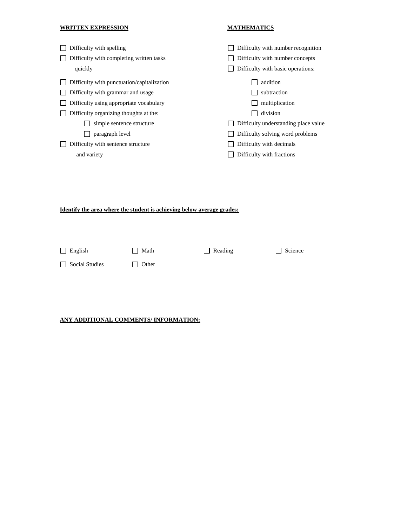## **WRITTEN EXPRESSION MATHEMATICS**

| Difficulty with spelling<br>Difficulty with completing written tasks<br>quickly | Difficulty with number recognition<br>Difficulty with number concepts<br>Difficulty with basic operations: |
|---------------------------------------------------------------------------------|------------------------------------------------------------------------------------------------------------|
| Difficulty with punctuation/capitalization                                      | addition                                                                                                   |
| Difficulty with grammar and usage                                               | subtraction                                                                                                |
| Difficulty using appropriate vocabulary                                         | multiplication                                                                                             |
| Difficulty organizing thoughts at the:                                          | division                                                                                                   |
| simple sentence structure                                                       | Difficulty understanding place value                                                                       |
| paragraph level                                                                 | Difficulty solving word problems                                                                           |
| Difficulty with sentence structure                                              | Difficulty with decimals                                                                                   |
| and variety                                                                     | Difficulty with fractions                                                                                  |

## **Identify the area where the student is achieving below average grades:**

| $\Box$ English | $\Box$ Math | $\Box$ Reading | $\Box$ Science |
|----------------|-------------|----------------|----------------|
| Social Studies | Other       |                |                |

## **ANY ADDITIONAL COMMENTS/ INFORMATION:**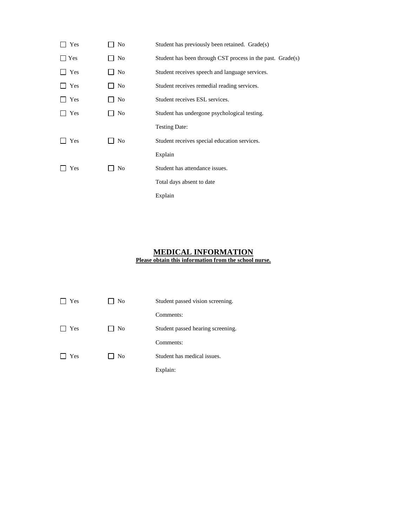| Yes | No             | Student has previously been retained. Grade(s)             |
|-----|----------------|------------------------------------------------------------|
| Yes | No             | Student has been through CST process in the past. Grade(s) |
| Yes | N <sub>0</sub> | Student receives speech and language services.             |
| Yes | No             | Student receives remedial reading services.                |
| Yes | No             | Student receives ESL services.                             |
| Yes | No             | Student has undergone psychological testing.               |
|     |                | <b>Testing Date:</b>                                       |
| Yes | No             | Student receives special education services.               |
|     |                | Explain                                                    |
| Yes | N <sub>0</sub> | Student has attendance issues.                             |
|     |                | Total days absent to date                                  |
|     |                | Explain                                                    |

### **MEDICAL INFORMATION Please obtain this information from the school nurse.**

| Yes | No             | Student passed vision screening.  |
|-----|----------------|-----------------------------------|
|     |                | Comments:                         |
| Yes | N <sub>0</sub> | Student passed hearing screening. |
|     |                | Comments:                         |
| Yes | N <sub>0</sub> | Student has medical issues.       |
|     |                | Explain:                          |